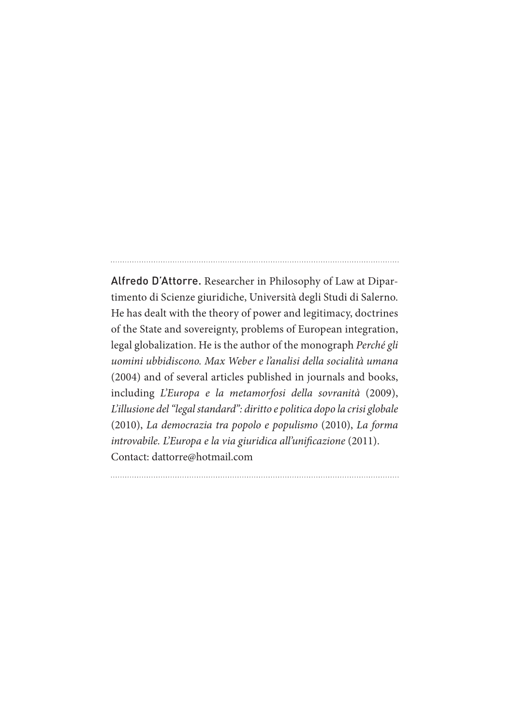Alfredo D'Attorre. Researcher in Philosophy of Law at Dipartimento di Scienze giuridiche, Università degli Studi di Salerno. He has dealt with the theory of power and legitimacy, doctrines of the State and sovereignty, problems of European integration, legal globalization. He is the author of the monograph *Perché gli uomini ubbidiscono. Max Weber e l'analisi della socialità umana* (2004) and of several articles published in journals and books, including *L'Europa e la metamorfosi della sovranità* (2009), *L'illusione del "legal standard": diritto e politica dopo la crisi globale*  (2010), *La democrazia tra popolo e populismo* (2010), *La forma introvabile. L'Europa e la via giuridica all'unificazione* (2011). Contact: dattorre@hotmail.com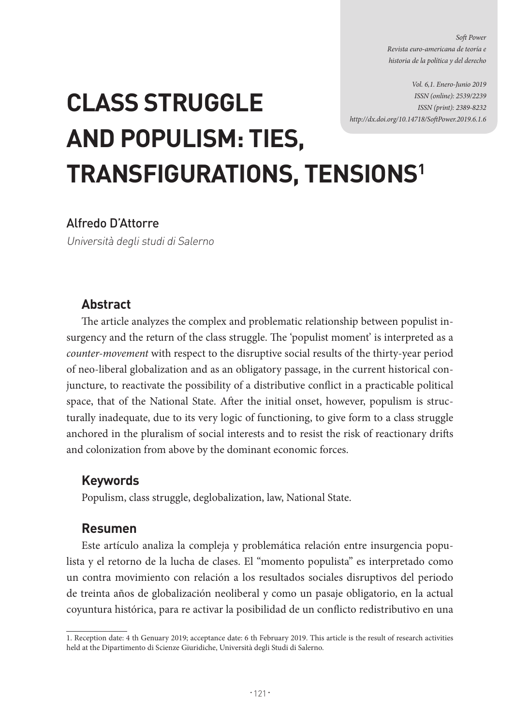*Soft Power Revista euro-americana de teoría e historia de la política y del derecho*

*Vol. 6,1. Enero-Junio 2019 ISSN (online): 2539/2239 ISSN (print): 2389-8232 http://dx.doi.org/10.14718/SoftPower.2019.6.1.6*

# **CLASS STRUGGLE AND POPULISM: TIES, TRANSFIGURATIONS, TENSIONS1**

#### Alfredo D'Attorre

Università degli studi di Salerno

#### **Abstract**

The article analyzes the complex and problematic relationship between populist insurgency and the return of the class struggle. The 'populist moment' is interpreted as a *counter-movement* with respect to the disruptive social results of the thirty-year period of neo-liberal globalization and as an obligatory passage, in the current historical conjuncture, to reactivate the possibility of a distributive conflict in a practicable political space, that of the National State. After the initial onset, however, populism is structurally inadequate, due to its very logic of functioning, to give form to a class struggle anchored in the pluralism of social interests and to resist the risk of reactionary drifts and colonization from above by the dominant economic forces.

#### **Keywords**

Populism, class struggle, deglobalization, law, National State.

#### **Resumen**

Este artículo analiza la compleja y problemática relación entre insurgencia populista y el retorno de la lucha de clases. El "momento populista" es interpretado como un contra movimiento con relación a los resultados sociales disruptivos del periodo de treinta años de globalización neoliberal y como un pasaje obligatorio, en la actual coyuntura histórica, para re activar la posibilidad de un conflicto redistributivo en una

<sup>1.</sup> Reception date: 4 th Genuary 2019; acceptance date: 6 th February 2019. This article is the result of research activities held at the Dipartimento di Scienze Giuridiche, Università degli Studi di Salerno.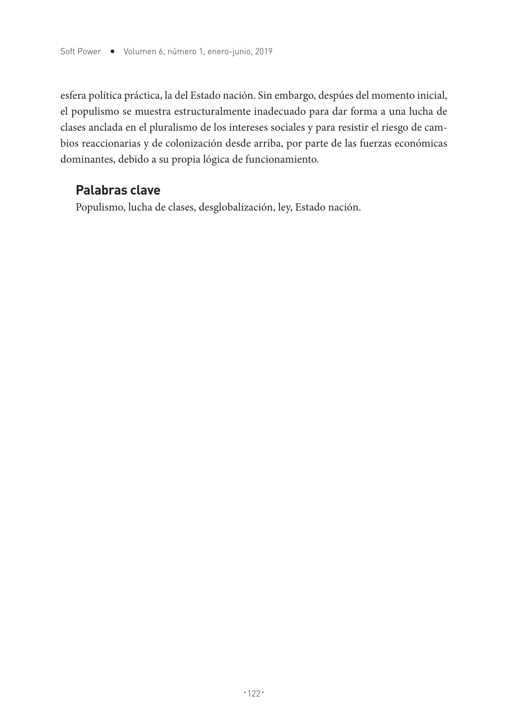esfera política práctica, la del Estado nación. Sin embargo, despúes del momento inicial, el populismo se muestra estructuralmente inadecuado para dar forma a una lucha de clases anclada en el pluralismo de los intereses sociales y para resistir el riesgo de cambios reaccionarias y de colonización desde arriba, por parte de las fuerzas económicas dominantes, debido a su propia lógica de funcionamiento.

# **Palabras clave**

Populismo, lucha de clases, desglobalización, ley, Estado nación.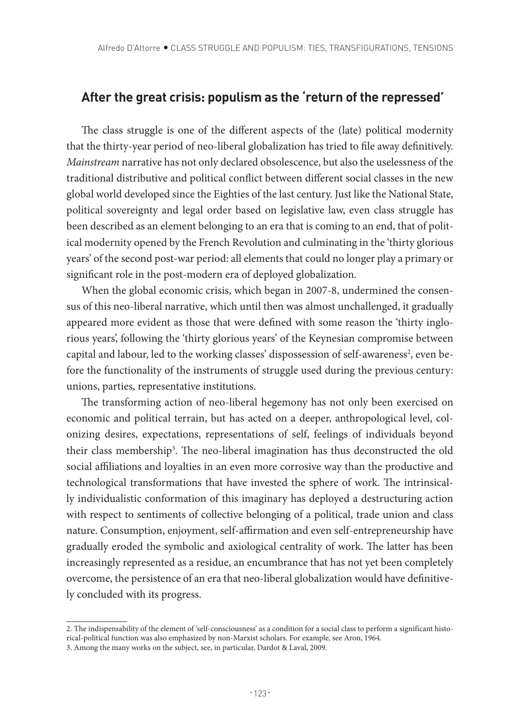## **After the great crisis: populism as the 'return of the repressed'**

The class struggle is one of the different aspects of the (late) political modernity that the thirty-year period of neo-liberal globalization has tried to file away definitively. *Mainstream* narrative has not only declared obsolescence, but also the uselessness of the traditional distributive and political conflict between different social classes in the new global world developed since the Eighties of the last century. Just like the National State, political sovereignty and legal order based on legislative law, even class struggle has been described as an element belonging to an era that is coming to an end, that of political modernity opened by the French Revolution and culminating in the 'thirty glorious years' of the second post-war period: all elements that could no longer play a primary or significant role in the post-modern era of deployed globalization.

When the global economic crisis, which began in 2007-8, undermined the consensus of this neo-liberal narrative, which until then was almost unchallenged, it gradually appeared more evident as those that were defined with some reason the 'thirty inglorious years', following the 'thirty glorious years' of the Keynesian compromise between capital and labour, led to the working classes' dispossession of self-awareness<sup>2</sup>, even before the functionality of the instruments of struggle used during the previous century: unions, parties, representative institutions.

The transforming action of neo-liberal hegemony has not only been exercised on economic and political terrain, but has acted on a deeper, anthropological level, colonizing desires, expectations, representations of self, feelings of individuals beyond their class membership<sup>3</sup>. The neo-liberal imagination has thus deconstructed the old social affiliations and loyalties in an even more corrosive way than the productive and technological transformations that have invested the sphere of work. The intrinsically individualistic conformation of this imaginary has deployed a destructuring action with respect to sentiments of collective belonging of a political, trade union and class nature. Consumption, enjoyment, self-affirmation and even self-entrepreneurship have gradually eroded the symbolic and axiological centrality of work. The latter has been increasingly represented as a residue, an encumbrance that has not yet been completely overcome, the persistence of an era that neo-liberal globalization would have definitively concluded with its progress.

<sup>2.</sup> The indispensability of the element of 'self-consciousness' as a condition for a social class to perform a significant historical-political function was also emphasized by non-Marxist scholars. For example, see Aron, 1964.

<sup>3.</sup> Among the many works on the subject, see, in particular, Dardot & Laval, 2009.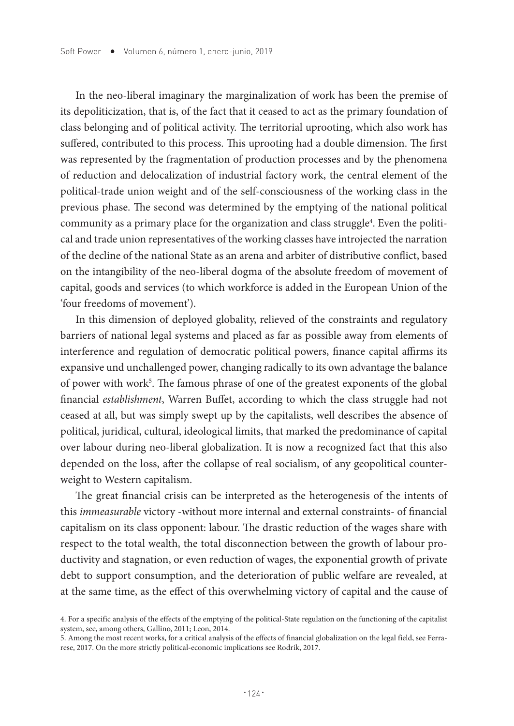In the neo-liberal imaginary the marginalization of work has been the premise of its depoliticization, that is, of the fact that it ceased to act as the primary foundation of class belonging and of political activity. The territorial uprooting, which also work has suffered, contributed to this process. This uprooting had a double dimension. The first was represented by the fragmentation of production processes and by the phenomena of reduction and delocalization of industrial factory work, the central element of the political-trade union weight and of the self-consciousness of the working class in the previous phase. The second was determined by the emptying of the national political community as a primary place for the organization and class struggle<sup>4</sup>. Even the political and trade union representatives of the working classes have introjected the narration of the decline of the national State as an arena and arbiter of distributive conflict, based on the intangibility of the neo-liberal dogma of the absolute freedom of movement of capital, goods and services (to which workforce is added in the European Union of the 'four freedoms of movement').

In this dimension of deployed globality, relieved of the constraints and regulatory barriers of national legal systems and placed as far as possible away from elements of interference and regulation of democratic political powers, finance capital affirms its expansive und unchallenged power, changing radically to its own advantage the balance of power with work<sup>5</sup>. The famous phrase of one of the greatest exponents of the global financial *establishment*, Warren Buffet, according to which the class struggle had not ceased at all, but was simply swept up by the capitalists, well describes the absence of political, juridical, cultural, ideological limits, that marked the predominance of capital over labour during neo-liberal globalization. It is now a recognized fact that this also depended on the loss, after the collapse of real socialism, of any geopolitical counterweight to Western capitalism.

The great financial crisis can be interpreted as the heterogenesis of the intents of this *immeasurable* victory -without more internal and external constraints- of financial capitalism on its class opponent: labour. The drastic reduction of the wages share with respect to the total wealth, the total disconnection between the growth of labour productivity and stagnation, or even reduction of wages, the exponential growth of private debt to support consumption, and the deterioration of public welfare are revealed, at at the same time, as the effect of this overwhelming victory of capital and the cause of

<sup>4.</sup> For a specific analysis of the effects of the emptying of the political-State regulation on the functioning of the capitalist system, see, among others, Gallino, 2011; Leon, 2014.

<sup>5.</sup> Among the most recent works, for a critical analysis of the effects of financial globalization on the legal field, see Ferrarese, 2017. On the more strictly political-economic implications see Rodrik, 2017.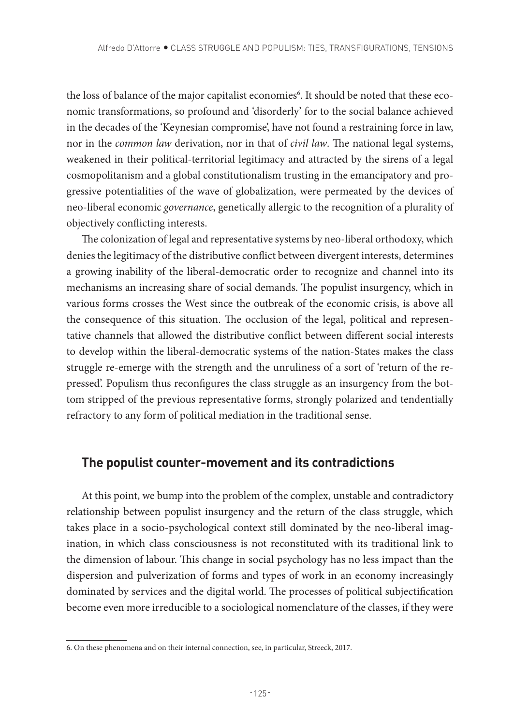the loss of balance of the major capitalist economies<sup>6</sup>. It should be noted that these economic transformations, so profound and 'disorderly' for to the social balance achieved in the decades of the 'Keynesian compromise', have not found a restraining force in law, nor in the *common law* derivation, nor in that of *civil law*. The national legal systems, weakened in their political-territorial legitimacy and attracted by the sirens of a legal cosmopolitanism and a global constitutionalism trusting in the emancipatory and progressive potentialities of the wave of globalization, were permeated by the devices of neo-liberal economic *governance*, genetically allergic to the recognition of a plurality of objectively conflicting interests.

The colonization of legal and representative systems by neo-liberal orthodoxy, which denies the legitimacy of the distributive conflict between divergent interests, determines a growing inability of the liberal-democratic order to recognize and channel into its mechanisms an increasing share of social demands. The populist insurgency, which in various forms crosses the West since the outbreak of the economic crisis, is above all the consequence of this situation. The occlusion of the legal, political and representative channels that allowed the distributive conflict between different social interests to develop within the liberal-democratic systems of the nation-States makes the class struggle re-emerge with the strength and the unruliness of a sort of 'return of the repressed'. Populism thus reconfigures the class struggle as an insurgency from the bottom stripped of the previous representative forms, strongly polarized and tendentially refractory to any form of political mediation in the traditional sense.

#### **The populist counter-movement and its contradictions**

At this point, we bump into the problem of the complex, unstable and contradictory relationship between populist insurgency and the return of the class struggle, which takes place in a socio-psychological context still dominated by the neo-liberal imagination, in which class consciousness is not reconstituted with its traditional link to the dimension of labour. This change in social psychology has no less impact than the dispersion and pulverization of forms and types of work in an economy increasingly dominated by services and the digital world. The processes of political subjectification become even more irreducible to a sociological nomenclature of the classes, if they were

<sup>6.</sup> On these phenomena and on their internal connection, see, in particular, Streeck, 2017.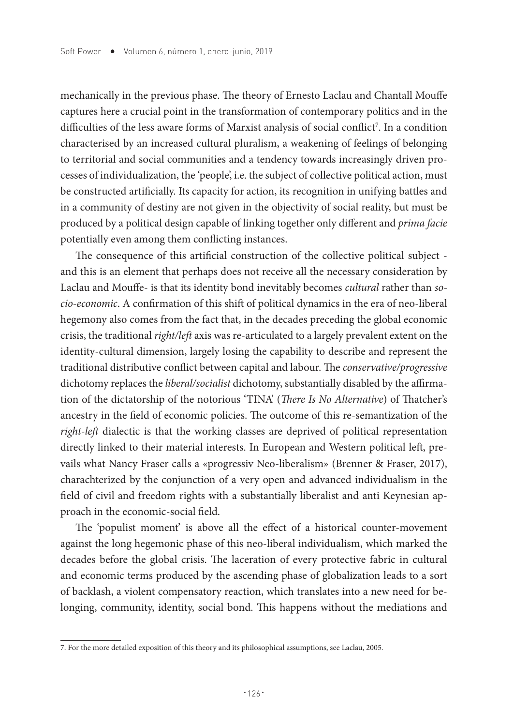mechanically in the previous phase. The theory of Ernesto Laclau and Chantall Mouffe captures here a crucial point in the transformation of contemporary politics and in the difficulties of the less aware forms of Marxist analysis of social conflict<sup>7</sup>. In a condition characterised by an increased cultural pluralism, a weakening of feelings of belonging to territorial and social communities and a tendency towards increasingly driven processes of individualization, the 'people', i.e. the subject of collective political action, must be constructed artificially. Its capacity for action, its recognition in unifying battles and in a community of destiny are not given in the objectivity of social reality, but must be produced by a political design capable of linking together only different and *prima facie* potentially even among them conflicting instances.

The consequence of this artificial construction of the collective political subject and this is an element that perhaps does not receive all the necessary consideration by Laclau and Mouffe- is that its identity bond inevitably becomes *cultural* rather than *socio-economic*. A confirmation of this shift of political dynamics in the era of neo-liberal hegemony also comes from the fact that, in the decades preceding the global economic crisis, the traditional *right/left* axis was re-articulated to a largely prevalent extent on the identity-cultural dimension, largely losing the capability to describe and represent the traditional distributive conflict between capital and labour. The *conservative/progressive* dichotomy replaces the *liberal/socialist* dichotomy, substantially disabled by the affirmation of the dictatorship of the notorious 'TINA' (*There Is No Alternative*) of Thatcher's ancestry in the field of economic policies. The outcome of this re-semantization of the *right-left* dialectic is that the working classes are deprived of political representation directly linked to their material interests. In European and Western political left, prevails what Nancy Fraser calls a «progressiv Neo-liberalism» (Brenner & Fraser, 2017), charachterized by the conjunction of a very open and advanced individualism in the field of civil and freedom rights with a substantially liberalist and anti Keynesian approach in the economic-social field.

The 'populist moment' is above all the effect of a historical counter-movement against the long hegemonic phase of this neo-liberal individualism, which marked the decades before the global crisis. The laceration of every protective fabric in cultural and economic terms produced by the ascending phase of globalization leads to a sort of backlash, a violent compensatory reaction, which translates into a new need for belonging, community, identity, social bond. This happens without the mediations and

<sup>7.</sup> For the more detailed exposition of this theory and its philosophical assumptions, see Laclau, 2005.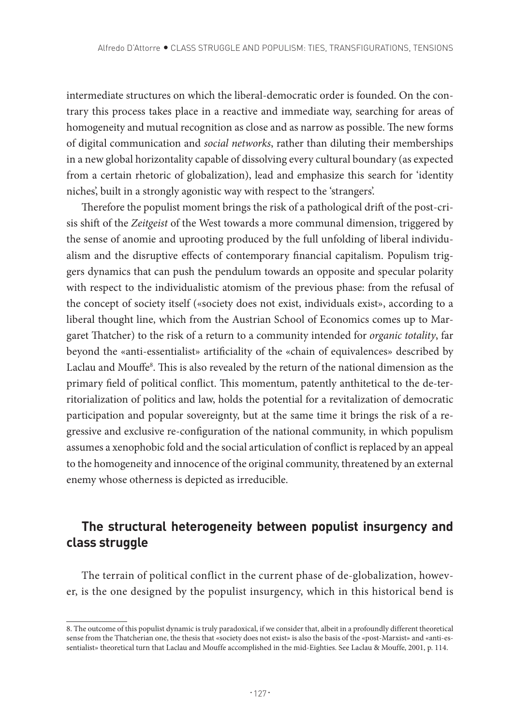intermediate structures on which the liberal-democratic order is founded. On the contrary this process takes place in a reactive and immediate way, searching for areas of homogeneity and mutual recognition as close and as narrow as possible. The new forms of digital communication and *social networks*, rather than diluting their memberships in a new global horizontality capable of dissolving every cultural boundary (as expected from a certain rhetoric of globalization), lead and emphasize this search for 'identity niches', built in a strongly agonistic way with respect to the 'strangers'.

Therefore the populist moment brings the risk of a pathological drift of the post-crisis shift of the *Zeitgeist* of the West towards a more communal dimension, triggered by the sense of anomie and uprooting produced by the full unfolding of liberal individualism and the disruptive effects of contemporary financial capitalism. Populism triggers dynamics that can push the pendulum towards an opposite and specular polarity with respect to the individualistic atomism of the previous phase: from the refusal of the concept of society itself («society does not exist, individuals exist», according to a liberal thought line, which from the Austrian School of Economics comes up to Margaret Thatcher) to the risk of a return to a community intended for *organic totality*, far beyond the «anti-essentialist» artificiality of the «chain of equivalences» described by Laclau and Mouffe<sup>8</sup>. This is also revealed by the return of the national dimension as the primary field of political conflict. This momentum, patently anthitetical to the de-territorialization of politics and law, holds the potential for a revitalization of democratic participation and popular sovereignty, but at the same time it brings the risk of a regressive and exclusive re-configuration of the national community, in which populism assumes a xenophobic fold and the social articulation of conflict is replaced by an appeal to the homogeneity and innocence of the original community, threatened by an external enemy whose otherness is depicted as irreducible.

# **The structural heterogeneity between populist insurgency and class struggle**

The terrain of political conflict in the current phase of de-globalization, however, is the one designed by the populist insurgency, which in this historical bend is

<sup>8.</sup> The outcome of this populist dynamic is truly paradoxical, if we consider that, albeit in a profoundly different theoretical sense from the Thatcherian one, the thesis that «society does not exist» is also the basis of the «post-Marxist» and «anti-essentialist» theoretical turn that Laclau and Mouffe accomplished in the mid-Eighties. See Laclau & Mouffe, 2001, p. 114.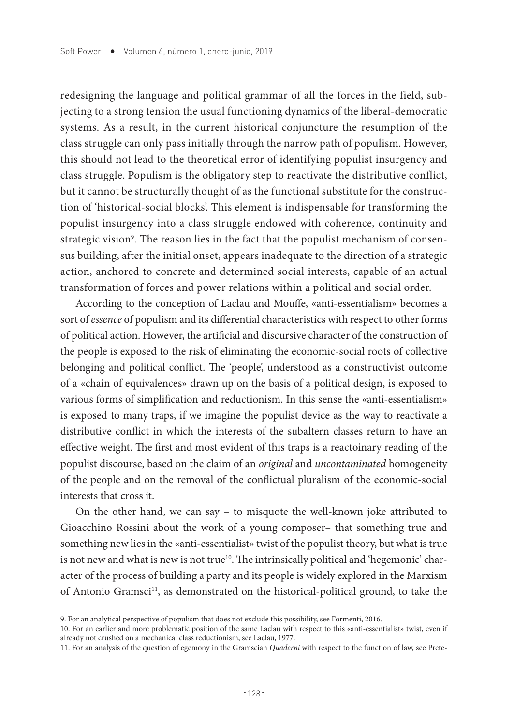redesigning the language and political grammar of all the forces in the field, subjecting to a strong tension the usual functioning dynamics of the liberal-democratic systems. As a result, in the current historical conjuncture the resumption of the class struggle can only pass initially through the narrow path of populism. However, this should not lead to the theoretical error of identifying populist insurgency and class struggle. Populism is the obligatory step to reactivate the distributive conflict, but it cannot be structurally thought of as the functional substitute for the construction of 'historical-social blocks'. This element is indispensable for transforming the populist insurgency into a class struggle endowed with coherence, continuity and strategic vision°. The reason lies in the fact that the populist mechanism of consensus building, after the initial onset, appears inadequate to the direction of a strategic action, anchored to concrete and determined social interests, capable of an actual transformation of forces and power relations within a political and social order.

According to the conception of Laclau and Mouffe, «anti-essentialism» becomes a sort of *essence* of populism and its differential characteristics with respect to other forms of political action. However, the artificial and discursive character of the construction of the people is exposed to the risk of eliminating the economic-social roots of collective belonging and political conflict. The 'people', understood as a constructivist outcome of a «chain of equivalences» drawn up on the basis of a political design, is exposed to various forms of simplification and reductionism. In this sense the «anti-essentialism» is exposed to many traps, if we imagine the populist device as the way to reactivate a distributive conflict in which the interests of the subaltern classes return to have an effective weight. The first and most evident of this traps is a reactoinary reading of the populist discourse, based on the claim of an *original* and *uncontaminated* homogeneity of the people and on the removal of the conflictual pluralism of the economic-social interests that cross it.

On the other hand, we can say – to misquote the well-known joke attributed to Gioacchino Rossini about the work of a young composer– that something true and something new lies in the «anti-essentialist» twist of the populist theory, but what is true is not new and what is new is not true<sup>10</sup>. The intrinsically political and 'hegemonic' character of the process of building a party and its people is widely explored in the Marxism of Antonio Gramsci<sup>11</sup>, as demonstrated on the historical-political ground, to take the

<sup>9.</sup> For an analytical perspective of populism that does not exclude this possibility, see Formenti, 2016.

<sup>10.</sup> For an earlier and more problematic position of the same Laclau with respect to this «anti-essentialist» twist, even if already not crushed on a mechanical class reductionism, see Laclau, 1977.

<sup>11.</sup> For an analysis of the question of egemony in the Gramscian *Quaderni* with respect to the function of law, see Prete-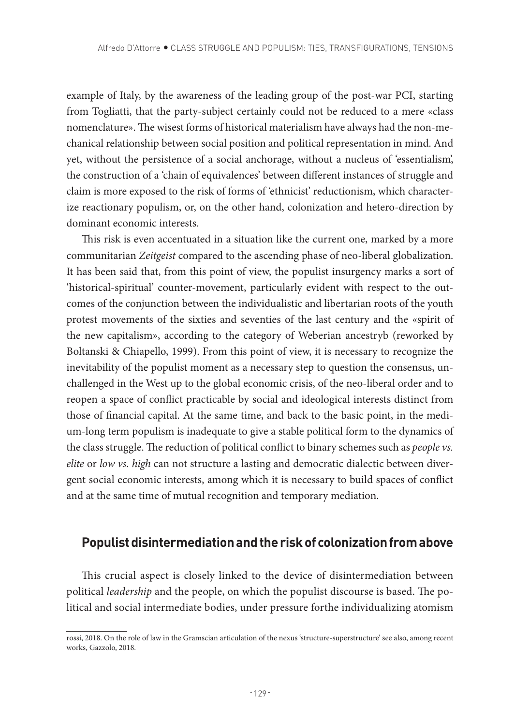example of Italy, by the awareness of the leading group of the post-war PCI, starting from Togliatti, that the party-subject certainly could not be reduced to a mere «class nomenclature». The wisest forms of historical materialism have always had the non-mechanical relationship between social position and political representation in mind. And yet, without the persistence of a social anchorage, without a nucleus of 'essentialism', the construction of a 'chain of equivalences' between different instances of struggle and claim is more exposed to the risk of forms of 'ethnicist' reductionism, which characterize reactionary populism, or, on the other hand, colonization and hetero-direction by dominant economic interests.

This risk is even accentuated in a situation like the current one, marked by a more communitarian *Zeitgeist* compared to the ascending phase of neo-liberal globalization. It has been said that, from this point of view, the populist insurgency marks a sort of 'historical-spiritual' counter-movement, particularly evident with respect to the outcomes of the conjunction between the individualistic and libertarian roots of the youth protest movements of the sixties and seventies of the last century and the «spirit of the new capitalism», according to the category of Weberian ancestryb (reworked by Boltanski & Chiapello, 1999). From this point of view, it is necessary to recognize the inevitability of the populist moment as a necessary step to question the consensus, unchallenged in the West up to the global economic crisis, of the neo-liberal order and to reopen a space of conflict practicable by social and ideological interests distinct from those of financial capital. At the same time, and back to the basic point, in the medium-long term populism is inadequate to give a stable political form to the dynamics of the class struggle. The reduction of political conflict to binary schemes such as *people vs. elite* or *low vs. high* can not structure a lasting and democratic dialectic between divergent social economic interests, among which it is necessary to build spaces of conflict and at the same time of mutual recognition and temporary mediation.

#### **Populist disintermediation and the risk of colonization from above**

This crucial aspect is closely linked to the device of disintermediation between political *leadership* and the people, on which the populist discourse is based. The political and social intermediate bodies, under pressure forthe individualizing atomism

rossi, 2018. On the role of law in the Gramscian articulation of the nexus 'structure-superstructure' see also, among recent works, Gazzolo, 2018.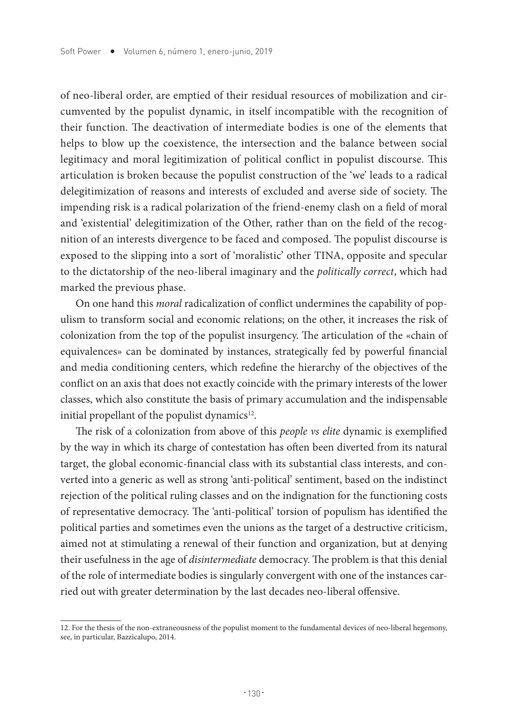of neo-liberal order, are emptied of their residual resources of mobilization and circumvented by the populist dynamic, in itself incompatible with the recognition of their function. The deactivation of intermediate bodies is one of the elements that helps to blow up the coexistence, the intersection and the balance between social legitimacy and moral legitimization of political conflict in populist discourse. This articulation is broken because the populist construction of the 'we' leads to a radical delegitimization of reasons and interests of excluded and averse side of society. The impending risk is a radical polarization of the friend-enemy clash on a field of moral and 'existential' delegitimization of the Other, rather than on the field of the recognition of an interests divergence to be faced and composed. The populist discourse is exposed to the slipping into a sort of 'moralistic' other TINA, opposite and specular to the dictatorship of the neo-liberal imaginary and the *politically correct*, which had marked the previous phase.

On one hand this *moral* radicalization of conflict undermines the capability of populism to transform social and economic relations; on the other, it increases the risk of colonization from the top of the populist insurgency. The articulation of the «chain of equivalences» can be dominated by instances, strategically fed by powerful financial and media conditioning centers, which redefine the hierarchy of the objectives of the conflict on an axis that does not exactly coincide with the primary interests of the lower classes, which also constitute the basis of primary accumulation and the indispensable initial propellant of the populist dynamics<sup>12</sup>.

The risk of a colonization from above of this *people vs elite* dynamic is exemplified by the way in which its charge of contestation has often been diverted from its natural target, the global economic-financial class with its substantial class interests, and converted into a generic as well as strong 'anti-political' sentiment, based on the indistinct rejection of the political ruling classes and on the indignation for the functioning costs of representative democracy. The 'anti-political' torsion of populism has identified the political parties and sometimes even the unions as the target of a destructive criticism, aimed not at stimulating a renewal of their function and organization, but at denying their usefulness in the age of *disintermediate* democracy. The problem is that this denial of the role of intermediate bodies is singularly convergent with one of the instances carried out with greater determination by the last decades neo-liberal offensive.

<sup>12.</sup> For the thesis of the non-extraneousness of the populist moment to the fundamental devices of neo-liberal hegemony, see, in particular, Bazzicalupo, 2014.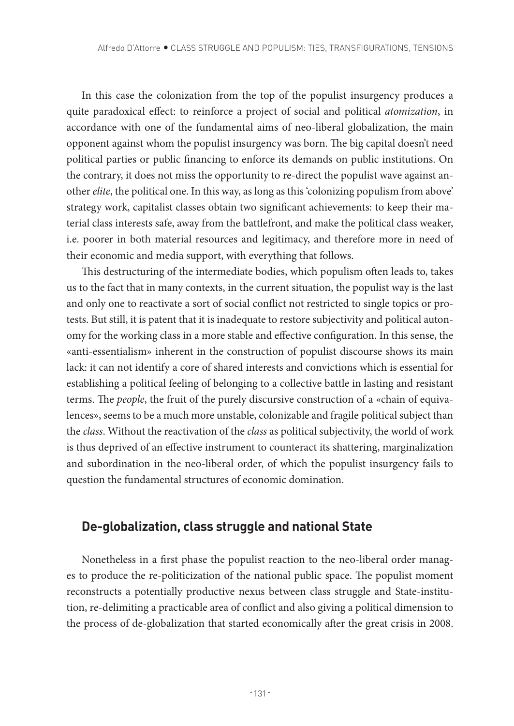In this case the colonization from the top of the populist insurgency produces a quite paradoxical effect: to reinforce a project of social and political *atomization*, in accordance with one of the fundamental aims of neo-liberal globalization, the main opponent against whom the populist insurgency was born. The big capital doesn't need political parties or public financing to enforce its demands on public institutions. On the contrary, it does not miss the opportunity to re-direct the populist wave against another *elite*, the political one. In this way, as long as this 'colonizing populism from above' strategy work, capitalist classes obtain two significant achievements: to keep their material class interests safe, away from the battlefront, and make the political class weaker, i.e. poorer in both material resources and legitimacy, and therefore more in need of their economic and media support, with everything that follows.

This destructuring of the intermediate bodies, which populism often leads to, takes us to the fact that in many contexts, in the current situation, the populist way is the last and only one to reactivate a sort of social conflict not restricted to single topics or protests. But still, it is patent that it is inadequate to restore subjectivity and political autonomy for the working class in a more stable and effective configuration. In this sense, the «anti-essentialism» inherent in the construction of populist discourse shows its main lack: it can not identify a core of shared interests and convictions which is essential for establishing a political feeling of belonging to a collective battle in lasting and resistant terms. The *people*, the fruit of the purely discursive construction of a «chain of equivalences», seems to be a much more unstable, colonizable and fragile political subject than the *class*. Without the reactivation of the *class* as political subjectivity, the world of work is thus deprived of an effective instrument to counteract its shattering, marginalization and subordination in the neo-liberal order, of which the populist insurgency fails to question the fundamental structures of economic domination.

#### **De-globalization, class struggle and national State**

Nonetheless in a first phase the populist reaction to the neo-liberal order manages to produce the re-politicization of the national public space. The populist moment reconstructs a potentially productive nexus between class struggle and State-institution, re-delimiting a practicable area of conflict and also giving a political dimension to the process of de-globalization that started economically after the great crisis in 2008.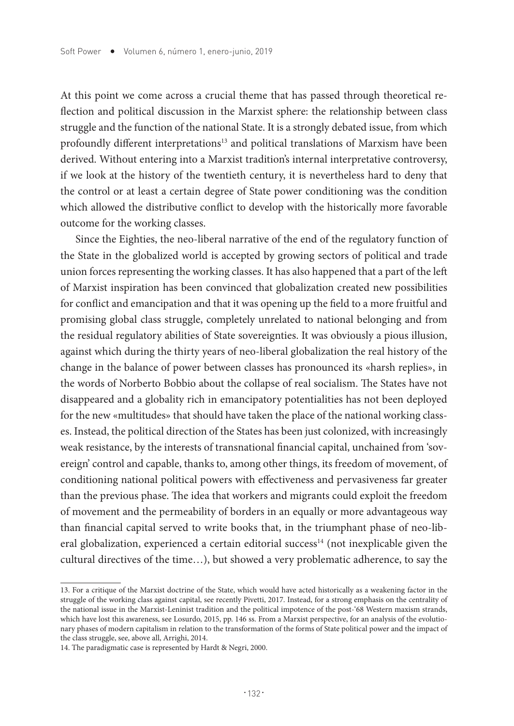At this point we come across a crucial theme that has passed through theoretical reflection and political discussion in the Marxist sphere: the relationship between class struggle and the function of the national State. It is a strongly debated issue, from which profoundly different interpretations<sup>13</sup> and political translations of Marxism have been derived. Without entering into a Marxist tradition's internal interpretative controversy, if we look at the history of the twentieth century, it is nevertheless hard to deny that the control or at least a certain degree of State power conditioning was the condition which allowed the distributive conflict to develop with the historically more favorable outcome for the working classes.

Since the Eighties, the neo-liberal narrative of the end of the regulatory function of the State in the globalized world is accepted by growing sectors of political and trade union forces representing the working classes. It has also happened that a part of the left of Marxist inspiration has been convinced that globalization created new possibilities for conflict and emancipation and that it was opening up the field to a more fruitful and promising global class struggle, completely unrelated to national belonging and from the residual regulatory abilities of State sovereignties. It was obviously a pious illusion, against which during the thirty years of neo-liberal globalization the real history of the change in the balance of power between classes has pronounced its «harsh replies», in the words of Norberto Bobbio about the collapse of real socialism. The States have not disappeared and a globality rich in emancipatory potentialities has not been deployed for the new «multitudes» that should have taken the place of the national working classes. Instead, the political direction of the States has been just colonized, with increasingly weak resistance, by the interests of transnational financial capital, unchained from 'sovereign' control and capable, thanks to, among other things, its freedom of movement, of conditioning national political powers with effectiveness and pervasiveness far greater than the previous phase. The idea that workers and migrants could exploit the freedom of movement and the permeability of borders in an equally or more advantageous way than financial capital served to write books that, in the triumphant phase of neo-liberal globalization, experienced a certain editorial success<sup>14</sup> (not inexplicable given the cultural directives of the time…), but showed a very problematic adherence, to say the

<sup>13.</sup> For a critique of the Marxist doctrine of the State, which would have acted historically as a weakening factor in the struggle of the working class against capital, see recently Pivetti, 2017. Instead, for a strong emphasis on the centrality of the national issue in the Marxist-Leninist tradition and the political impotence of the post-'68 Western maxism strands, which have lost this awareness, see Losurdo, 2015, pp. 146 ss. From a Marxist perspective, for an analysis of the evolutionary phases of modern capitalism in relation to the transformation of the forms of State political power and the impact of the class struggle, see, above all, Arrighi, 2014.

<sup>14.</sup> The paradigmatic case is represented by Hardt & Negri, 2000.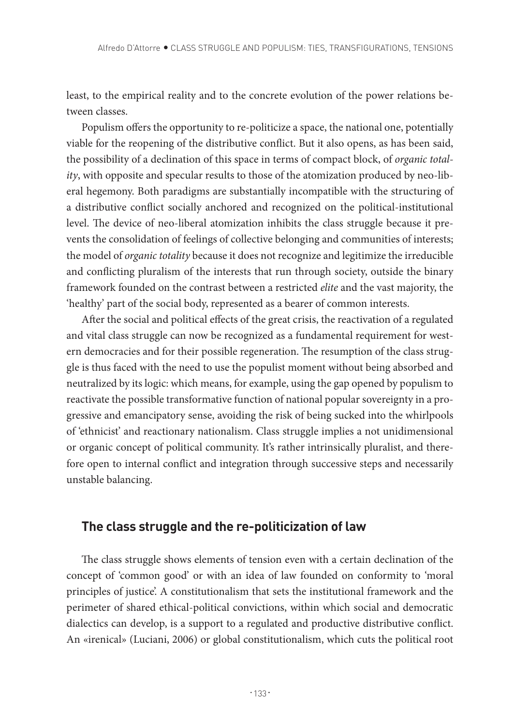least, to the empirical reality and to the concrete evolution of the power relations between classes.

Populism offers the opportunity to re-politicize a space, the national one, potentially viable for the reopening of the distributive conflict. But it also opens, as has been said, the possibility of a declination of this space in terms of compact block, of *organic totality*, with opposite and specular results to those of the atomization produced by neo-liberal hegemony. Both paradigms are substantially incompatible with the structuring of a distributive conflict socially anchored and recognized on the political-institutional level. The device of neo-liberal atomization inhibits the class struggle because it prevents the consolidation of feelings of collective belonging and communities of interests; the model of *organic totality* because it does not recognize and legitimize the irreducible and conflicting pluralism of the interests that run through society, outside the binary framework founded on the contrast between a restricted *elite* and the vast majority, the 'healthy' part of the social body, represented as a bearer of common interests.

After the social and political effects of the great crisis, the reactivation of a regulated and vital class struggle can now be recognized as a fundamental requirement for western democracies and for their possible regeneration. The resumption of the class struggle is thus faced with the need to use the populist moment without being absorbed and neutralized by its logic: which means, for example, using the gap opened by populism to reactivate the possible transformative function of national popular sovereignty in a progressive and emancipatory sense, avoiding the risk of being sucked into the whirlpools of 'ethnicist' and reactionary nationalism. Class struggle implies a not unidimensional or organic concept of political community. It's rather intrinsically pluralist, and therefore open to internal conflict and integration through successive steps and necessarily unstable balancing.

## **The class struggle and the re-politicization of law**

The class struggle shows elements of tension even with a certain declination of the concept of 'common good' or with an idea of law founded on conformity to 'moral principles of justice'. A constitutionalism that sets the institutional framework and the perimeter of shared ethical-political convictions, within which social and democratic dialectics can develop, is a support to a regulated and productive distributive conflict. An «irenical» (Luciani, 2006) or global constitutionalism, which cuts the political root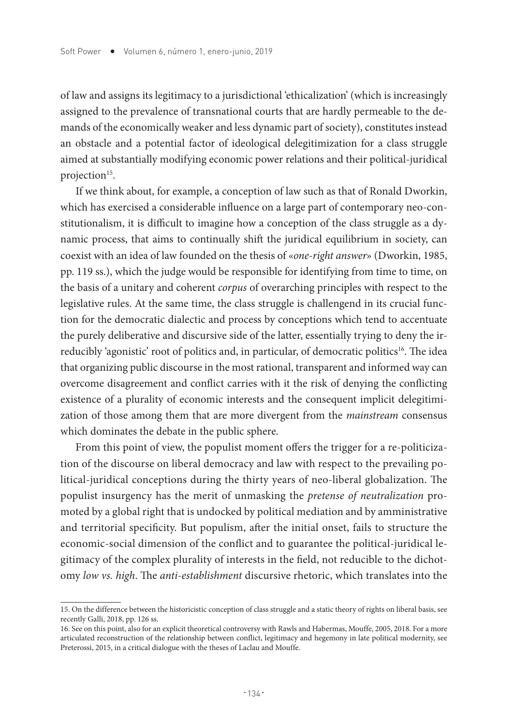of law and assigns its legitimacy to a jurisdictional 'ethicalization' (which is increasingly assigned to the prevalence of transnational courts that are hardly permeable to the demands of the economically weaker and less dynamic part of society), constitutes instead an obstacle and a potential factor of ideological delegitimization for a class struggle aimed at substantially modifying economic power relations and their political-juridical projection<sup>15</sup>.

If we think about, for example, a conception of law such as that of Ronald Dworkin, which has exercised a considerable influence on a large part of contemporary neo-constitutionalism, it is difficult to imagine how a conception of the class struggle as a dynamic process, that aims to continually shift the juridical equilibrium in society, can coexist with an idea of law founded on the thesis of «*one-right answer*» (Dworkin, 1985, pp. 119 ss.), which the judge would be responsible for identifying from time to time, on the basis of a unitary and coherent *corpus* of overarching principles with respect to the legislative rules. At the same time, the class struggle is challengend in its crucial function for the democratic dialectic and process by conceptions which tend to accentuate the purely deliberative and discursive side of the latter, essentially trying to deny the irreducibly 'agonistic' root of politics and, in particular, of democratic politics<sup>16</sup>. The idea that organizing public discourse in the most rational, transparent and informed way can overcome disagreement and conflict carries with it the risk of denying the conflicting existence of a plurality of economic interests and the consequent implicit delegitimization of those among them that are more divergent from the *mainstream* consensus which dominates the debate in the public sphere.

From this point of view, the populist moment offers the trigger for a re-politicization of the discourse on liberal democracy and law with respect to the prevailing political-juridical conceptions during the thirty years of neo-liberal globalization. The populist insurgency has the merit of unmasking the *pretense of neutralization* promoted by a global right that is undocked by political mediation and by amministrative and territorial specificity. But populism, after the initial onset, fails to structure the economic-social dimension of the conflict and to guarantee the political-juridical legitimacy of the complex plurality of interests in the field, not reducible to the dichotomy *low vs. high*. The *anti-establishment* discursive rhetoric, which translates into the

<sup>15.</sup> On the difference between the historicistic conception of class struggle and a static theory of rights on liberal basis, see recently Galli, 2018, pp. 126 ss.

<sup>16.</sup> See on this point, also for an explicit theoretical controversy with Rawls and Habermas, Mouffe, 2005, 2018. For a more articulated reconstruction of the relationship between conflict, legitimacy and hegemony in late political modernity, see Preterossi, 2015, in a critical dialogue with the theses of Laclau and Mouffe.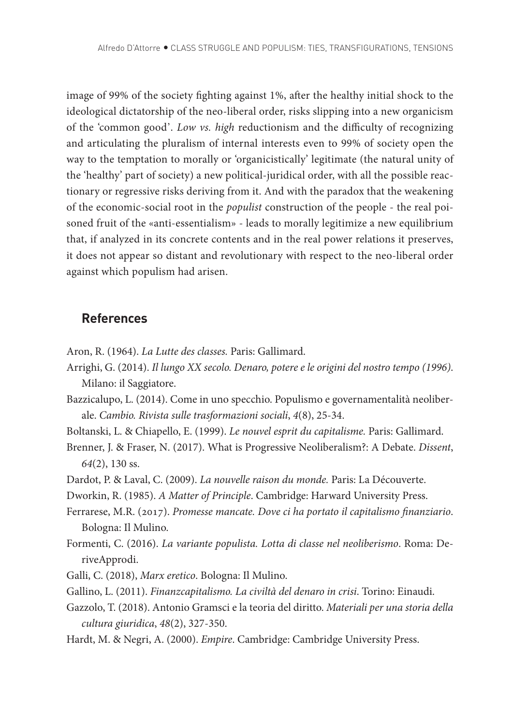image of 99% of the society fighting against 1%, after the healthy initial shock to the ideological dictatorship of the neo-liberal order, risks slipping into a new organicism of the 'common good'. *Low vs. high* reductionism and the difficulty of recognizing and articulating the pluralism of internal interests even to 99% of society open the way to the temptation to morally or 'organicistically' legitimate (the natural unity of the 'healthy' part of society) a new political-juridical order, with all the possible reactionary or regressive risks deriving from it. And with the paradox that the weakening of the economic-social root in the *populist* construction of the people - the real poisoned fruit of the «anti-essentialism» - leads to morally legitimize a new equilibrium that, if analyzed in its concrete contents and in the real power relations it preserves, it does not appear so distant and revolutionary with respect to the neo-liberal order against which populism had arisen.

## **References**

- Aron, R. (1964). *La Lutte des classes.* Paris: Gallimard.
- Arrighi, G. (2014). *Il lungo XX secolo. Denaro, potere e le origini del nostro tempo (1996)*. Milano: il Saggiatore.
- Bazzicalupo, L. (2014). Come in uno specchio. Populismo e governamentalità neoliberale. *Cambio. Rivista sulle trasformazioni sociali*, *4*(8), 25-34.
- Boltanski, L. & Chiapello, E. (1999). *Le nouvel esprit du capitalisme.* Paris: Gallimard.
- Brenner, J. & Fraser, N. (2017). What is Progressive Neoliberalism?: A Debate. *Dissent*, *64*(2), 130 ss.
- Dardot, P. & Laval, C. (2009). *La nouvelle raison du monde.* Paris: La Découverte.
- Dworkin, R. (1985). *A Matter of Principle*. Cambridge: Harward University Press.
- Ferrarese, M.R. (2017). *Promesse mancate. Dove ci ha portato il capitalismo finanziario*. Bologna: Il Mulino.
- Formenti, C. (2016). *La variante populista. Lotta di classe nel neoliberismo*. Roma: DeriveApprodi.
- Galli, C. (2018), *Marx eretico*. Bologna: Il Mulino.
- Gallino, L. (2011). *Finanzcapitalismo. La civiltà del denaro in crisi*. Torino: Einaudi.
- Gazzolo, T. (2018). Antonio Gramsci e la teoria del diritto. *Materiali per una storia della cultura giuridica*, *48*(2), 327-350.
- Hardt, M. & Negri, A. (2000). *Empire*. Cambridge: Cambridge University Press.